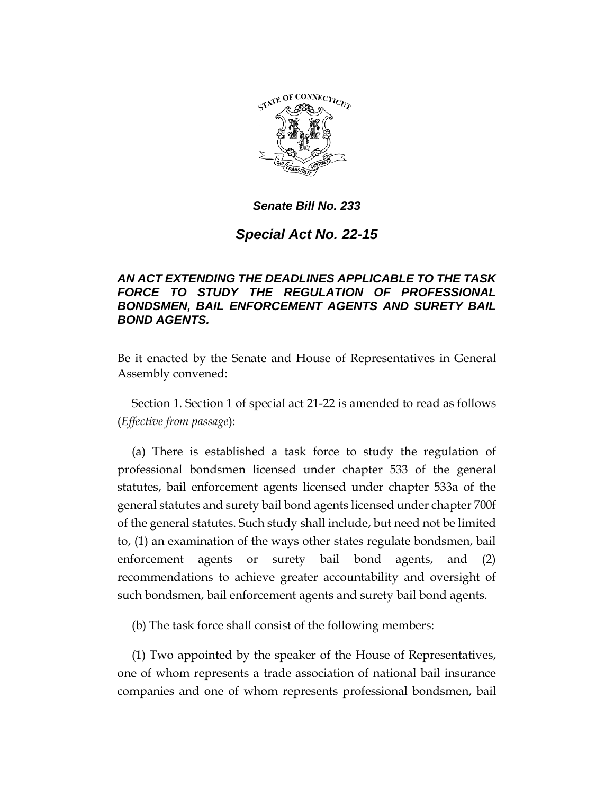

# *Senate Bill No. 233*

# *Special Act No. 22-15*

### *AN ACT EXTENDING THE DEADLINES APPLICABLE TO THE TASK FORCE TO STUDY THE REGULATION OF PROFESSIONAL BONDSMEN, BAIL ENFORCEMENT AGENTS AND SURETY BAIL BOND AGENTS.*

Be it enacted by the Senate and House of Representatives in General Assembly convened:

Section 1. Section 1 of special act 21-22 is amended to read as follows (*Effective from passage*):

(a) There is established a task force to study the regulation of professional bondsmen licensed under chapter 533 of the general statutes, bail enforcement agents licensed under chapter 533a of the general statutes and surety bail bond agents licensed under chapter 700f of the general statutes. Such study shall include, but need not be limited to, (1) an examination of the ways other states regulate bondsmen, bail enforcement agents or surety bail bond agents, and (2) recommendations to achieve greater accountability and oversight of such bondsmen, bail enforcement agents and surety bail bond agents.

(b) The task force shall consist of the following members:

(1) Two appointed by the speaker of the House of Representatives, one of whom represents a trade association of national bail insurance companies and one of whom represents professional bondsmen, bail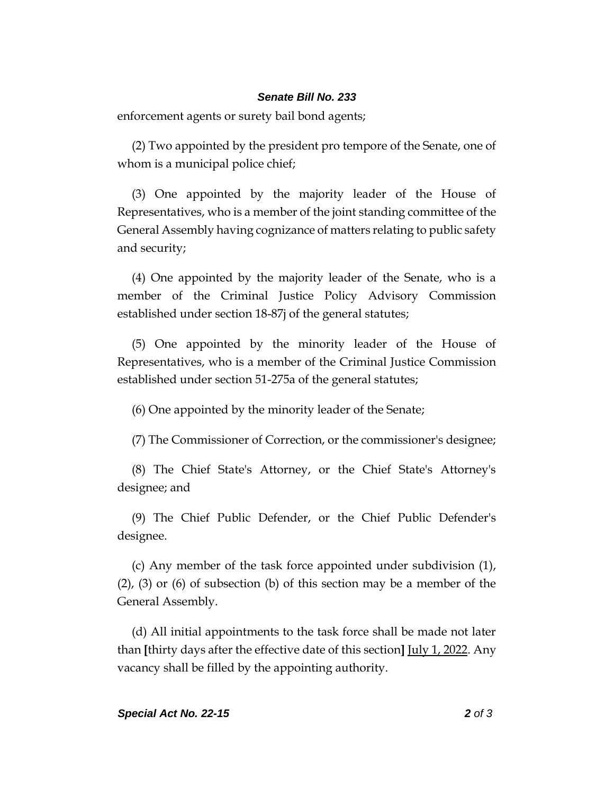#### *Senate Bill No. 233*

enforcement agents or surety bail bond agents;

(2) Two appointed by the president pro tempore of the Senate, one of whom is a municipal police chief;

(3) One appointed by the majority leader of the House of Representatives, who is a member of the joint standing committee of the General Assembly having cognizance of matters relating to public safety and security;

(4) One appointed by the majority leader of the Senate, who is a member of the Criminal Justice Policy Advisory Commission established under section 18-87j of the general statutes;

(5) One appointed by the minority leader of the House of Representatives, who is a member of the Criminal Justice Commission established under section 51-275a of the general statutes;

(6) One appointed by the minority leader of the Senate;

(7) The Commissioner of Correction, or the commissioner's designee;

(8) The Chief State's Attorney, or the Chief State's Attorney's designee; and

(9) The Chief Public Defender, or the Chief Public Defender's designee.

(c) Any member of the task force appointed under subdivision (1), (2), (3) or (6) of subsection (b) of this section may be a member of the General Assembly.

(d) All initial appointments to the task force shall be made not later than **[**thirty days after the effective date of this section**]** July 1, 2022. Any vacancy shall be filled by the appointing authority.